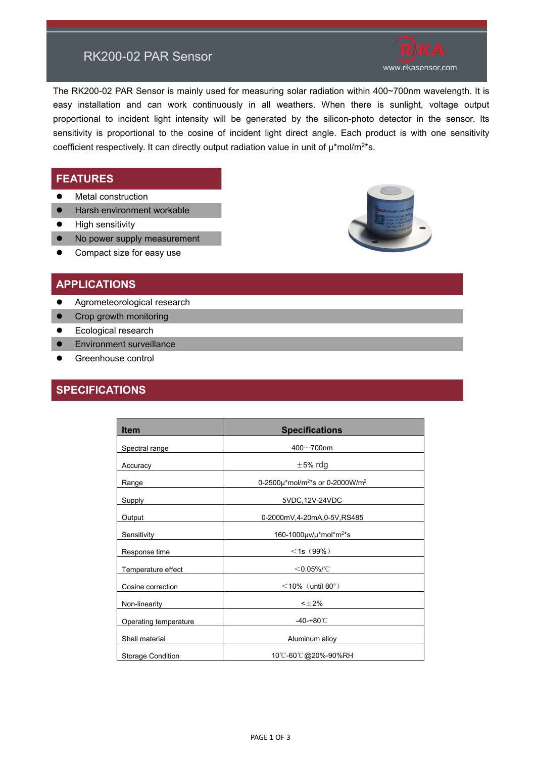## RK200-02 PAR Sensor

The RK200-02 PAR Sensor is mainly used for measuring solar radiation within 400~700nm wavelength. It is easy installation and can work continuously in all weathers. When there is sunlight, voltage output proportional to [incident](file:///C:/Users/thinkpad/AppData/Local/Yodao/DeskDict/frame/20160218092733/javascript:void(0);) [light](file:///C:/Users/thinkpad/AppData/Local/Yodao/DeskDict/frame/20160218092733/javascript:void(0);) intensity will be generated by the silicon-photo detector in the sensor. Its sensitivity is proportional to the cosine of incident light direct angle. Each product is with one sensitivity coefficient respectively. It can directly output radiation value in unit of  $\mu^*$ mol/m<sup>2\*</sup>s.

### **FEATURES**

- **•** [Metal](file:///C:/Users/thinkpad/AppData/Local/Yodao/DeskDict/frame/20160218092733/javascript:void(0);) [construction](file:///C:/Users/thinkpad/AppData/Local/Yodao/DeskDict/frame/20160218092733/javascript:void(0);)
- **•** Harsh environment workable
- **•** High sensitivity
- No power supply measurement



### **APPLICATIONS**

- $\bullet$  [Agrometeorological](file:///C:/Users/thinkpad/AppData/Local/Yodao/DeskDict/frame/20160218092733/javascript:void(0);) research
- Crop growth monitoring
- **Ecological research**
- **•** Environment surveillance
- Greenhouse control

## **SPECIFICATIONS**

| <b>Item</b>              | <b>Specifications</b>                                   |
|--------------------------|---------------------------------------------------------|
| Spectral range           | $400 - 700$ nm                                          |
| Accuracy                 | $\pm$ 5% rdg                                            |
| Range                    | 0-2500µ*mol/m <sup>2*</sup> s or 0-2000W/m <sup>2</sup> |
| Supply                   | 5VDC, 12V-24VDC                                         |
| Output                   | 0-2000mV,4-20mA,0-5V,RS485                              |
| Sensitivity              | 160-1000 $\mu$ v/ $\mu^*$ mol $\mu^*$ s                 |
| Response time            | $<$ 1s (99%)                                            |
| Temperature effect       | $<$ 0.05%/°C                                            |
| Cosine correction        | $\leq$ 10% (until 80°)                                  |
| Non-linearity            | $<\pm 2\%$                                              |
| Operating temperature    | $-40-+80^{\circ}$ C                                     |
| Shell material           | Aluminum alloy                                          |
| <b>Storage Condition</b> | 10℃-60℃@20%-90%RH                                       |



www.rikasensor.com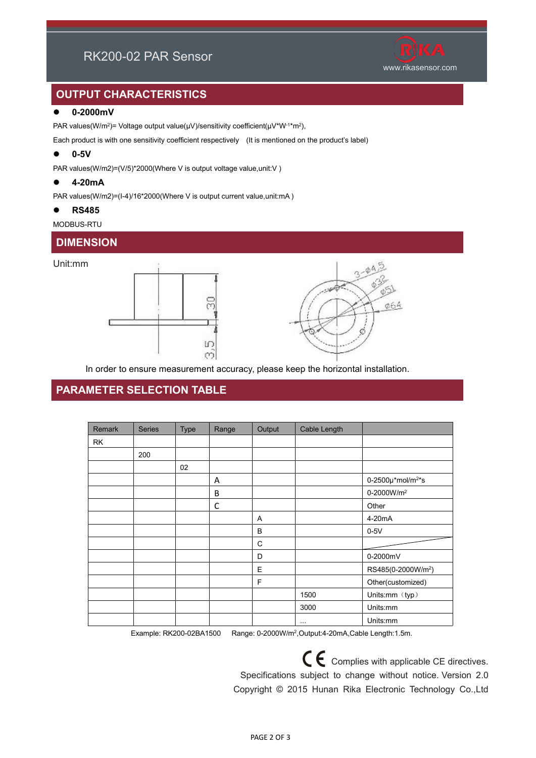# RK200-02 PAR Sensor



## **OUTPUT CHARACTERISTICS**

#### **0-2000mV**

PAR values(W/m²)= Voltage output value(μV)/[sensitivity](file:///C:/Users/thinkpad/AppData/Local/Yodao/DeskDict/frame/20160218092733/javascript:void(0);) [coefficient](file:///C:/Users/thinkpad/AppData/Local/Yodao/DeskDict/frame/20160218092733/javascript:void(0);)(μV\*W<sup>-1</sup>\*m²),

Each product is with one sensitivity coefficient respectively (It is mentioned on the product's label)

#### **0-5V**

PAR values(W/m2)=(V/5)\*2000(Where V is output voltage value,unit:V)

#### **4-20mA**

PAR values(W/m2)=(I-4)/16\*2000(Where V is output current value,unit:mA)

#### **RS485**

#### MODBUS-RTU

## **DIMENSION**

#### Unit:mm





In order to ensure measurement accuracy, please keep the horizontal installation.

## **PARAMETER SELECTION TABLE**

| Remark | <b>Series</b> | Type | Range        | Output      | Cable Length         |                                     |
|--------|---------------|------|--------------|-------------|----------------------|-------------------------------------|
| RK     |               |      |              |             |                      |                                     |
|        | 200           |      |              |             |                      |                                     |
|        |               | 02   |              |             |                      |                                     |
|        |               |      | Α            |             |                      | 0-2500 $\mu$ *mol/m <sup>2*</sup> s |
|        |               |      | $\sf B$      |             |                      | 0-2000W/m <sup>2</sup>              |
|        |               |      | $\mathsf{C}$ |             |                      | Other                               |
|        |               |      |              | A           |                      | 4-20mA                              |
|        |               |      |              | B           |                      | $0-5V$                              |
|        |               |      |              | $\mathbf C$ |                      |                                     |
|        |               |      |              | D           |                      | 0-2000mV                            |
|        |               |      |              | $\mathsf E$ |                      | RS485(0-2000W/m <sup>2</sup> )      |
|        |               |      |              | F           |                      | Other(customized)                   |
|        |               |      |              |             | 1500                 | Units:mm (typ)                      |
|        |               |      |              |             | 3000                 | Units:mm                            |
|        |               |      |              |             | $\sim$ $\sim$ $\sim$ | Units:mm                            |

Example: RK200-02BA1500 Range: 0-2000W/m<sup>2</sup> ,Output:4-20mA,Cable Length:1.5m.

 $C \epsilon$  Complies with applicable CE directives. Specifications subject to change without notice. Version 2.0 Copyright © 2015 Hunan Rika Electronic Technology Co.,Ltd